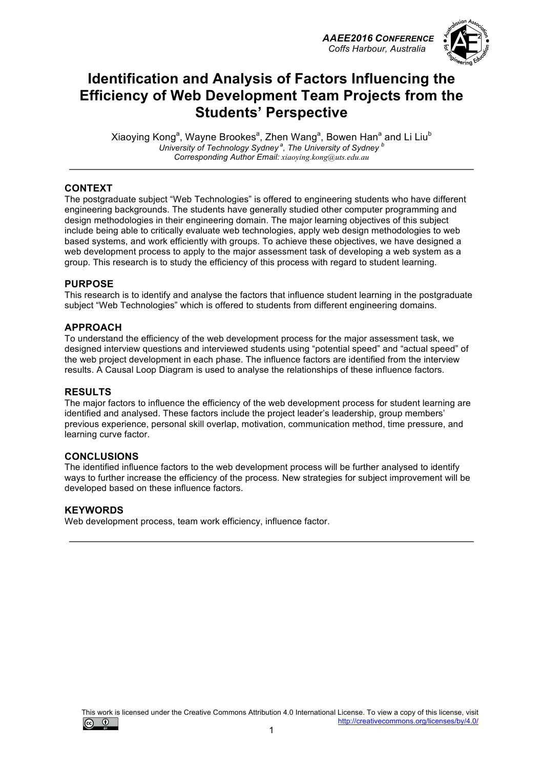*AAEE2016 CONFERENCE Coffs Harbour, Australia*



## **Identification and Analysis of Factors Influencing the Efficiency of Web Development Team Projects from the Students' Perspective**

Xiaoying Kong<sup>a</sup>, Wayne Brookes<sup>a</sup>, Zhen Wang<sup>a</sup>, Bowen Han<sup>a</sup> and Li Liu<sup>b</sup> University of Technology Sydney<sup>ª</sup>, The University of Sydney<sup>b</sup> *Corresponding Author Email: xiaoying.kong@uts.edu.au*

### **CONTEXT**

The postgraduate subject "Web Technologies" is offered to engineering students who have different engineering backgrounds. The students have generally studied other computer programming and design methodologies in their engineering domain. The major learning objectives of this subject include being able to critically evaluate web technologies, apply web design methodologies to web based systems, and work efficiently with groups. To achieve these objectives, we have designed a web development process to apply to the major assessment task of developing a web system as a group. This research is to study the efficiency of this process with regard to student learning.

### **PURPOSE**

This research is to identify and analyse the factors that influence student learning in the postgraduate subject "Web Technologies" which is offered to students from different engineering domains.

### **APPROACH**

To understand the efficiency of the web development process for the major assessment task, we designed interview questions and interviewed students using "potential speed" and "actual speed" of the web project development in each phase. The influence factors are identified from the interview results. A Causal Loop Diagram is used to analyse the relationships of these influence factors.

### **RESULTS**

The major factors to influence the efficiency of the web development process for student learning are identified and analysed. These factors include the project leader's leadership, group members' previous experience, personal skill overlap, motivation, communication method, time pressure, and learning curve factor.

### **CONCLUSIONS**

The identified influence factors to the web development process will be further analysed to identify ways to further increase the efficiency of the process. New strategies for subject improvement will be developed based on these influence factors.

### **KEYWORDS**

Web development process, team work efficiency, influence factor.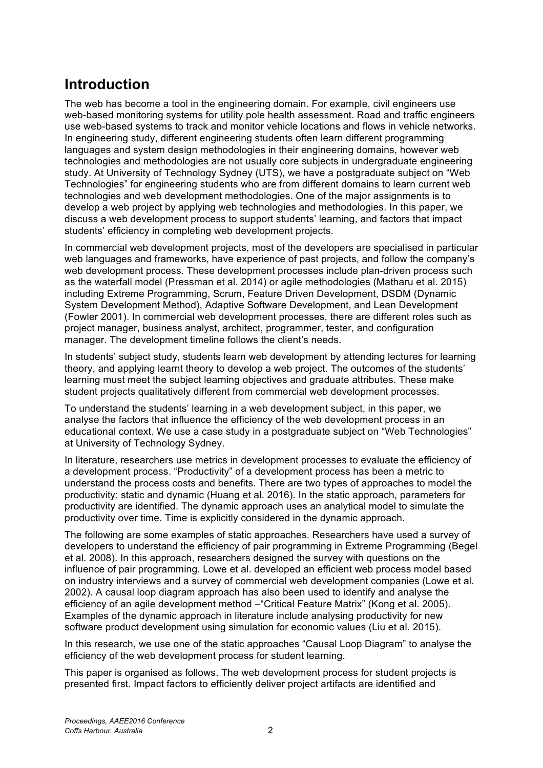# **Introduction**

The web has become a tool in the engineering domain. For example, civil engineers use web-based monitoring systems for utility pole health assessment. Road and traffic engineers use web-based systems to track and monitor vehicle locations and flows in vehicle networks. In engineering study, different engineering students often learn different programming languages and system design methodologies in their engineering domains, however web technologies and methodologies are not usually core subjects in undergraduate engineering study. At University of Technology Sydney (UTS), we have a postgraduate subject on "Web Technologies" for engineering students who are from different domains to learn current web technologies and web development methodologies. One of the major assignments is to develop a web project by applying web technologies and methodologies. In this paper, we discuss a web development process to support students' learning, and factors that impact students' efficiency in completing web development projects.

In commercial web development projects, most of the developers are specialised in particular web languages and frameworks, have experience of past projects, and follow the company's web development process. These development processes include plan-driven process such as the waterfall model (Pressman et al. 2014) or agile methodologies (Matharu et al. 2015) including Extreme Programming, Scrum, Feature Driven Development, DSDM (Dynamic System Development Method), Adaptive Software Development, and Lean Development (Fowler 2001). In commercial web development processes, there are different roles such as project manager, business analyst, architect, programmer, tester, and configuration manager. The development timeline follows the client's needs.

In students' subject study, students learn web development by attending lectures for learning theory, and applying learnt theory to develop a web project. The outcomes of the students' learning must meet the subject learning objectives and graduate attributes. These make student projects qualitatively different from commercial web development processes.

To understand the students' learning in a web development subject, in this paper, we analyse the factors that influence the efficiency of the web development process in an educational context. We use a case study in a postgraduate subject on "Web Technologies" at University of Technology Sydney.

In literature, researchers use metrics in development processes to evaluate the efficiency of a development process. "Productivity" of a development process has been a metric to understand the process costs and benefits. There are two types of approaches to model the productivity: static and dynamic (Huang et al. 2016). In the static approach, parameters for productivity are identified. The dynamic approach uses an analytical model to simulate the productivity over time. Time is explicitly considered in the dynamic approach.

The following are some examples of static approaches. Researchers have used a survey of developers to understand the efficiency of pair programming in Extreme Programming (Begel et al. 2008). In this approach, researchers designed the survey with questions on the influence of pair programming. Lowe et al. developed an efficient web process model based on industry interviews and a survey of commercial web development companies (Lowe et al. 2002). A causal loop diagram approach has also been used to identify and analyse the efficiency of an agile development method –"Critical Feature Matrix" (Kong et al. 2005). Examples of the dynamic approach in literature include analysing productivity for new software product development using simulation for economic values (Liu et al. 2015).

In this research, we use one of the static approaches "Causal Loop Diagram" to analyse the efficiency of the web development process for student learning.

This paper is organised as follows. The web development process for student projects is presented first. Impact factors to efficiently deliver project artifacts are identified and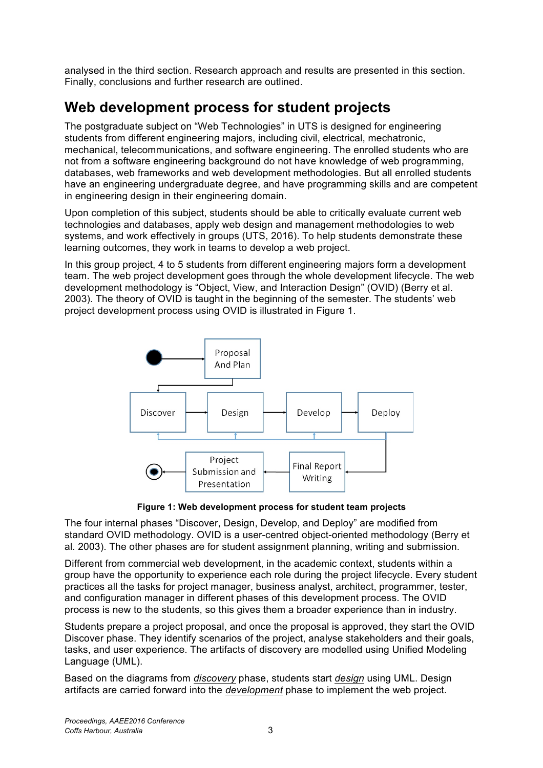analysed in the third section. Research approach and results are presented in this section. Finally, conclusions and further research are outlined.

# **Web development process for student projects**

The postgraduate subject on "Web Technologies" in UTS is designed for engineering students from different engineering majors, including civil, electrical, mechatronic, mechanical, telecommunications, and software engineering. The enrolled students who are not from a software engineering background do not have knowledge of web programming, databases, web frameworks and web development methodologies. But all enrolled students have an engineering undergraduate degree, and have programming skills and are competent in engineering design in their engineering domain.

Upon completion of this subject, students should be able to critically evaluate current web technologies and databases, apply web design and management methodologies to web systems, and work effectively in groups (UTS, 2016). To help students demonstrate these learning outcomes, they work in teams to develop a web project.

In this group project, 4 to 5 students from different engineering majors form a development team. The web project development goes through the whole development lifecycle. The web development methodology is "Object, View, and Interaction Design" (OVID) (Berry et al. 2003). The theory of OVID is taught in the beginning of the semester. The students' web project development process using OVID is illustrated in Figure 1.



**Figure 1: Web development process for student team projects**

The four internal phases "Discover, Design, Develop, and Deploy" are modified from standard OVID methodology. OVID is a user-centred object-oriented methodology (Berry et al. 2003). The other phases are for student assignment planning, writing and submission.

Different from commercial web development, in the academic context, students within a group have the opportunity to experience each role during the project lifecycle. Every student practices all the tasks for project manager, business analyst, architect, programmer, tester, and configuration manager in different phases of this development process. The OVID process is new to the students, so this gives them a broader experience than in industry.

Students prepare a project proposal, and once the proposal is approved, they start the OVID Discover phase. They identify scenarios of the project, analyse stakeholders and their goals, tasks, and user experience. The artifacts of discovery are modelled using Unified Modeling Language (UML).

Based on the diagrams from *discovery* phase, students start *design* using UML. Design artifacts are carried forward into the *development* phase to implement the web project.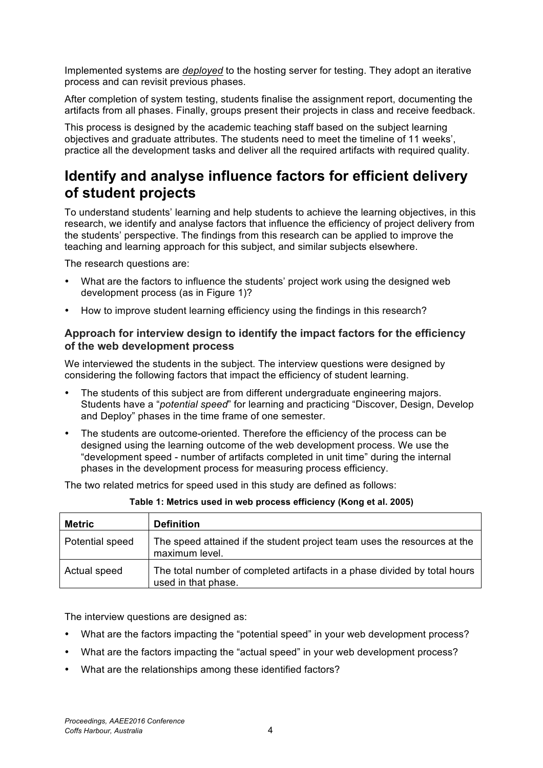Implemented systems are *deployed* to the hosting server for testing. They adopt an iterative process and can revisit previous phases.

After completion of system testing, students finalise the assignment report, documenting the artifacts from all phases. Finally, groups present their projects in class and receive feedback.

This process is designed by the academic teaching staff based on the subject learning objectives and graduate attributes. The students need to meet the timeline of 11 weeks', practice all the development tasks and deliver all the required artifacts with required quality.

# **Identify and analyse influence factors for efficient delivery of student projects**

To understand students' learning and help students to achieve the learning objectives, in this research, we identify and analyse factors that influence the efficiency of project delivery from the students' perspective. The findings from this research can be applied to improve the teaching and learning approach for this subject, and similar subjects elsewhere.

The research questions are:

- What are the factors to influence the students' project work using the designed web development process (as in Figure 1)?
- How to improve student learning efficiency using the findings in this research?

### **Approach for interview design to identify the impact factors for the efficiency of the web development process**

We interviewed the students in the subject. The interview questions were designed by considering the following factors that impact the efficiency of student learning.

- The students of this subject are from different undergraduate engineering majors. Students have a "*potential speed*" for learning and practicing "Discover, Design, Develop and Deploy" phases in the time frame of one semester.
- The students are outcome-oriented. Therefore the efficiency of the process can be designed using the learning outcome of the web development process. We use the "development speed - number of artifacts completed in unit time" during the internal phases in the development process for measuring process efficiency.

The two related metrics for speed used in this study are defined as follows:

| <b>Metric</b>   | <b>Definition</b>                                                                                |
|-----------------|--------------------------------------------------------------------------------------------------|
| Potential speed | The speed attained if the student project team uses the resources at the<br>maximum level.       |
| Actual speed    | The total number of completed artifacts in a phase divided by total hours<br>used in that phase. |

| Table 1: Metrics used in web process efficiency (Kong et al. 2005) |  |  |  |  |
|--------------------------------------------------------------------|--|--|--|--|
|--------------------------------------------------------------------|--|--|--|--|

The interview questions are designed as:

- What are the factors impacting the "potential speed" in your web development process?
- What are the factors impacting the "actual speed" in your web development process?
- What are the relationships among these identified factors?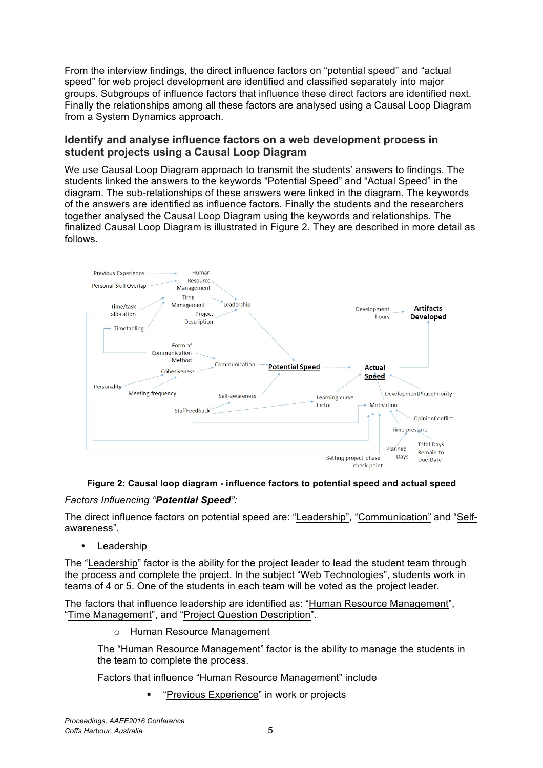From the interview findings, the direct influence factors on "potential speed" and "actual speed" for web project development are identified and classified separately into major groups. Subgroups of influence factors that influence these direct factors are identified next. Finally the relationships among all these factors are analysed using a Causal Loop Diagram from a System Dynamics approach.

### **Identify and analyse influence factors on a web development process in student projects using a Causal Loop Diagram**

We use Causal Loop Diagram approach to transmit the students' answers to findings. The students linked the answers to the keywords "Potential Speed" and "Actual Speed" in the diagram. The sub-relationships of these answers were linked in the diagram. The keywords of the answers are identified as influence factors. Finally the students and the researchers together analysed the Causal Loop Diagram using the keywords and relationships. The finalized Causal Loop Diagram is illustrated in Figure 2. They are described in more detail as follows.



### **Figure 2: Causal loop diagram - influence factors to potential speed and actual speed**

### *Factors Influencing "Potential Speed":*

The direct influence factors on potential speed are: "Leadership", "Communication" and "Selfawareness".

• Leadership

The "Leadership" factor is the ability for the project leader to lead the student team through the process and complete the project. In the subject "Web Technologies", students work in teams of 4 or 5. One of the students in each team will be voted as the project leader.

The factors that influence leadership are identified as: "Human Resource Management", "Time Management", and "Project Question Description".

o Human Resource Management

The "Human Resource Management" factor is the ability to manage the students in the team to complete the process.

Factors that influence "Human Resource Management" include

§ "Previous Experience" in work or projects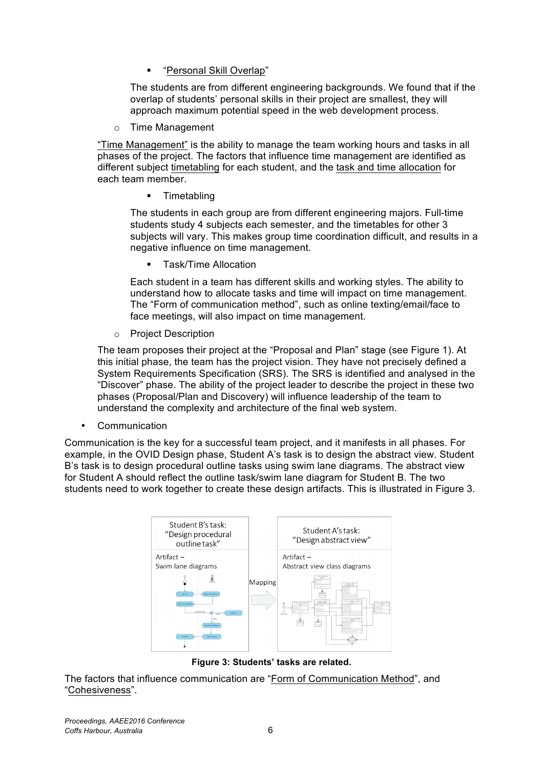§ "Personal Skill Overlap"

The students are from different engineering backgrounds. We found that if the overlap of students' personal skills in their project are smallest, they will approach maximum potential speed in the web development process.

o Time Management

"Time Management" is the ability to manage the team working hours and tasks in all phases of the project. The factors that influence time management are identified as different subject timetabling for each student, and the task and time allocation for each team member.

§ Timetabling

The students in each group are from different engineering majors. Full-time students study 4 subjects each semester, and the timetables for other 3 subjects will vary. This makes group time coordination difficult, and results in a negative influence on time management.

§ Task/Time Allocation

Each student in a team has different skills and working styles. The ability to understand how to allocate tasks and time will impact on time management. The "Form of communication method", such as online texting/email/face to face meetings, will also impact on time management.

o Project Description

The team proposes their project at the "Proposal and Plan" stage (see Figure 1). At this initial phase, the team has the project vision. They have not precisely defined a System Requirements Specification (SRS). The SRS is identified and analysed in the "Discover" phase. The ability of the project leader to describe the project in these two phases (Proposal/Plan and Discovery) will influence leadership of the team to understand the complexity and architecture of the final web system.

• Communication

Communication is the key for a successful team project, and it manifests in all phases. For example, in the OVID Design phase, Student A's task is to design the abstract view. Student B's task is to design procedural outline tasks using swim lane diagrams. The abstract view for Student A should reflect the outline task/swim lane diagram for Student B. The two students need to work together to create these design artifacts. This is illustrated in Figure 3.



**Figure 3: Students' tasks are related.**

The factors that influence communication are "Form of Communication Method", and "Cohesiveness".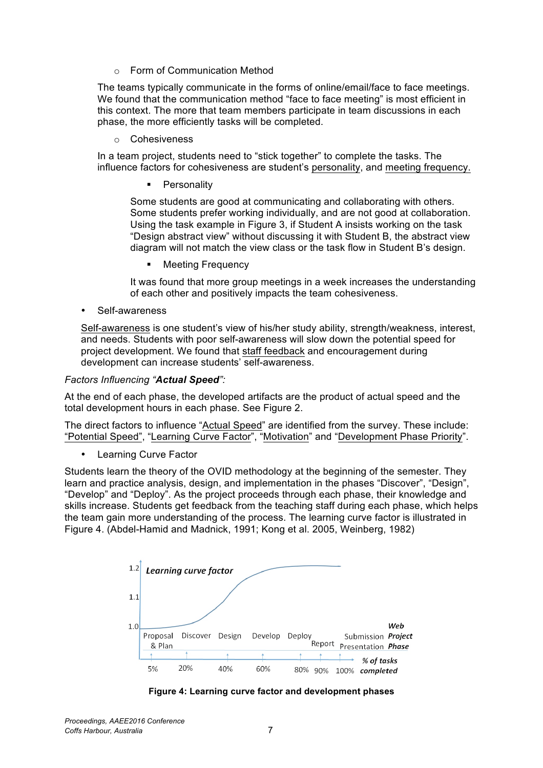o Form of Communication Method

The teams typically communicate in the forms of online/email/face to face meetings. We found that the communication method "face to face meeting" is most efficient in this context. The more that team members participate in team discussions in each phase, the more efficiently tasks will be completed.

o Cohesiveness

In a team project, students need to "stick together" to complete the tasks. The influence factors for cohesiveness are student's personality, and meeting frequency.

**Personality** 

Some students are good at communicating and collaborating with others. Some students prefer working individually, and are not good at collaboration. Using the task example in Figure 3, if Student A insists working on the task "Design abstract view" without discussing it with Student B, the abstract view diagram will not match the view class or the task flow in Student B's design.

**Meeting Frequency** 

It was found that more group meetings in a week increases the understanding of each other and positively impacts the team cohesiveness.

Self-awareness

Self-awareness is one student's view of his/her study ability, strength/weakness, interest, and needs. Students with poor self-awareness will slow down the potential speed for project development. We found that staff feedback and encouragement during development can increase students' self-awareness.

### *Factors Influencing "Actual Speed":*

At the end of each phase, the developed artifacts are the product of actual speed and the total development hours in each phase. See Figure 2.

The direct factors to influence "Actual Speed" are identified from the survey. These include: "Potential Speed", "Learning Curve Factor", "Motivation" and "Development Phase Priority".

• Learning Curve Factor

Students learn the theory of the OVID methodology at the beginning of the semester. They learn and practice analysis, design, and implementation in the phases "Discover", "Design", "Develop" and "Deploy". As the project proceeds through each phase, their knowledge and skills increase. Students get feedback from the teaching staff during each phase, which helps the team gain more understanding of the process. The learning curve factor is illustrated in Figure 4. (Abdel-Hamid and Madnick, 1991; Kong et al. 2005, Weinberg, 1982)



**Figure 4: Learning curve factor and development phases**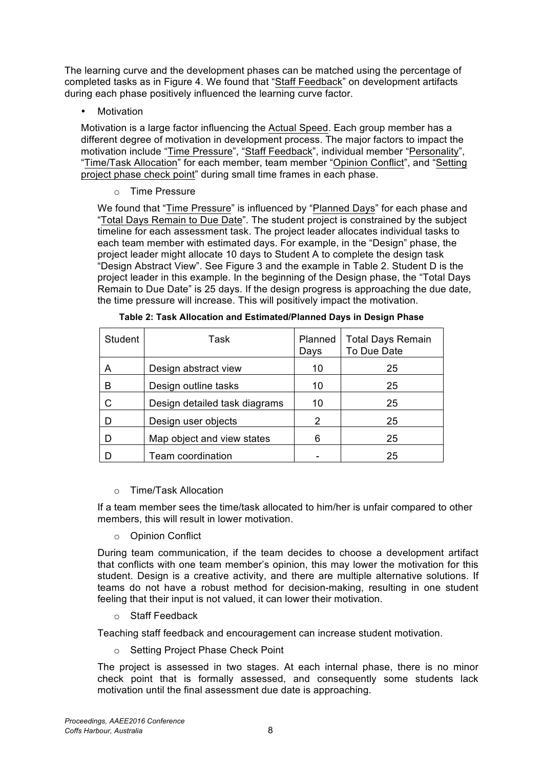The learning curve and the development phases can be matched using the percentage of completed tasks as in Figure 4. We found that "Staff Feedback" on development artifacts during each phase positively influenced the learning curve factor.

**Motivation** 

Motivation is a large factor influencing the Actual Speed. Each group member has a different degree of motivation in development process. The major factors to impact the motivation include "Time Pressure", "Staff Feedback", individual member "Personality", "Time/Task Allocation" for each member, team member "Opinion Conflict", and "Setting project phase check point" during small time frames in each phase.

o Time Pressure

We found that "Time Pressure" is influenced by "Planned Days" for each phase and "Total Days Remain to Due Date". The student project is constrained by the subject timeline for each assessment task. The project leader allocates individual tasks to each team member with estimated days. For example, in the "Design" phase, the project leader might allocate 10 days to Student A to complete the design task "Design Abstract View". See Figure 3 and the example in Table 2. Student D is the project leader in this example. In the beginning of the Design phase, the "Total Days Remain to Due Date" is 25 days. If the design progress is approaching the due date, the time pressure will increase. This will positively impact the motivation.

| <b>Student</b> | Task                          | Planned<br>Days | <b>Total Days Remain</b><br>To Due Date |
|----------------|-------------------------------|-----------------|-----------------------------------------|
| A              | Design abstract view          | 10              | 25                                      |
| R              | Design outline tasks          | 10              | 25                                      |
|                | Design detailed task diagrams | 10              | 25                                      |
| D              | Design user objects           | $\mathcal{P}$   | 25                                      |
|                | Map object and view states    | 6               | 25                                      |
|                | Team coordination             |                 | 25                                      |

| Table 2: Task Allocation and Estimated/Planned Days in Design Phase |  |  |
|---------------------------------------------------------------------|--|--|

o Time/Task Allocation

If a team member sees the time/task allocated to him/her is unfair compared to other members, this will result in lower motivation.

o Opinion Conflict

During team communication, if the team decides to choose a development artifact that conflicts with one team member's opinion, this may lower the motivation for this student. Design is a creative activity, and there are multiple alternative solutions. If teams do not have a robust method for decision-making, resulting in one student feeling that their input is not valued, it can lower their motivation.

o Staff Feedback

Teaching staff feedback and encouragement can increase student motivation.

o Setting Project Phase Check Point

The project is assessed in two stages. At each internal phase, there is no minor check point that is formally assessed, and consequently some students lack motivation until the final assessment due date is approaching.